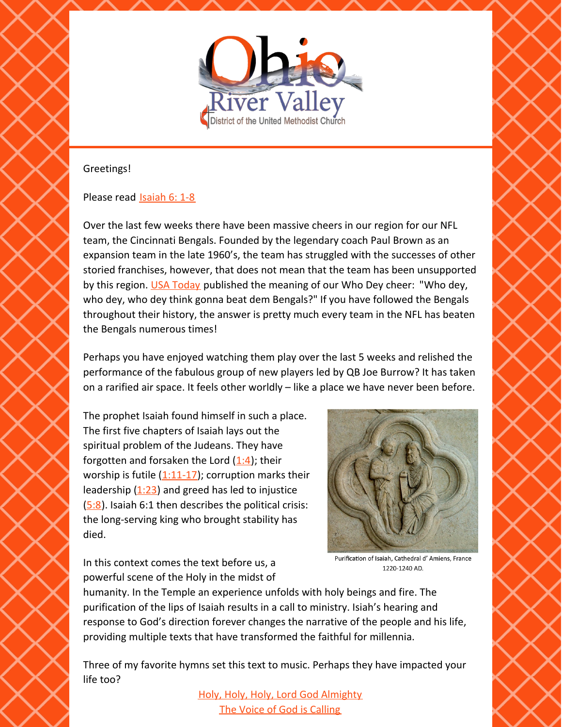

## Greetings!

## Please read [Isaiah](https://www.biblegateway.com/passage/?search=Isaiah+6%3A+1-8&version=NRSV) 6: 1-8

Over the last few weeks there have been massive cheers in our region for our NFL team, the Cincinnati Bengals. Founded by the legendary coach Paul Brown as an expansion team in the late 1960's, the team has struggled with the successes of other storied franchises, however, that does not mean that the team has been unsupported by this region. USA [Today](https://www.usatoday.com/story/sports/nfl/bengals/2022/02/01/who-dey-meaning-cincinnati-bengals-cheer-origin/9290815002/) published the meaning of our Who Dey cheer: "Who dey, who dey, who dey think gonna beat dem Bengals?" If you have followed the Bengals throughout their history, the answer is pretty much every team in the NFL has beaten the Bengals numerous times!

Perhaps you have enjoyed watching them play over the last 5 weeks and relished the performance of the fabulous group of new players led by QB Joe Burrow? It has taken on a rarified air space. It feels other worldly – like a place we have never been before.

The prophet Isaiah found himself in such a place. The first five chapters of Isaiah lays out the spiritual problem of the Judeans. They have forgotten and forsaken the Lord  $(1:4)$  $(1:4)$ ; their worship is futile  $(1:11-17)$  $(1:11-17)$  $(1:11-17)$ ; corruption marks their leadership  $(1:23)$  $(1:23)$  and greed has led to injustice  $(5:8)$  $(5:8)$ . Isaiah 6:1 then describes the political crisis: the long-serving king who brought stability has died.



In this context comes the text before us, a powerful scene of the Holy in the midst of

Purification of Isaiah, Cathedral d'Amiens, France 1220-1240 AD.

humanity. In the Temple an experience unfolds with holy beings and fire. The purification of the lips of Isaiah results in a call to ministry. Isiah's hearing and response to God's direction forever changes the narrative of the people and his life, providing multiple texts that have transformed the faithful for millennia.

Three of my favorite hymns set this text to music. Perhaps they have impacted your life too?

> Holy, Holy, Holy, Lord God [Almighty](https://www.youtube.com/watch?v=zKN9KxC866I) The Voice of God is [Calling](https://www.youtube.com/watch?v=Vau6A17kjW0)